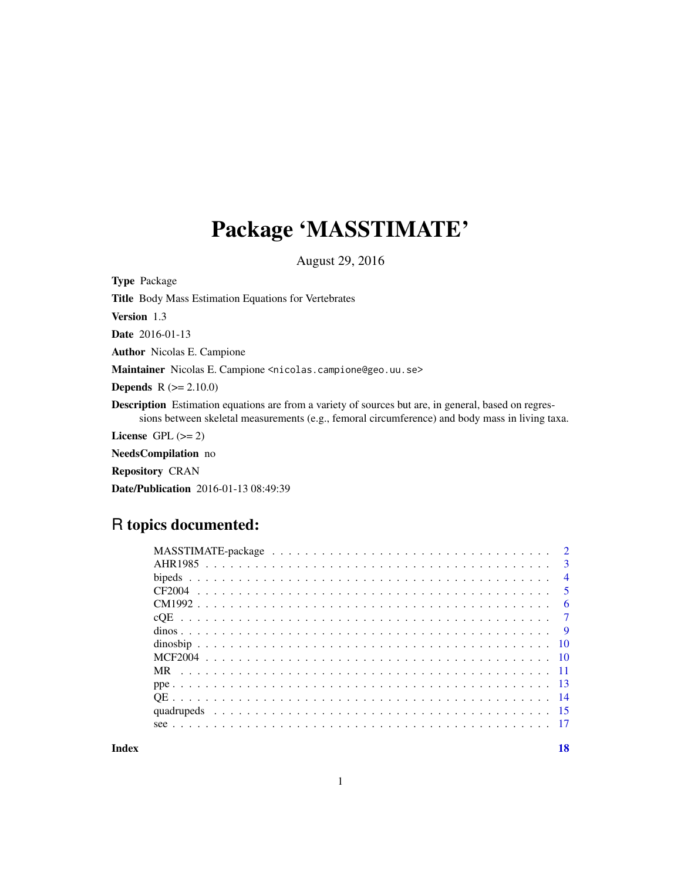## Package 'MASSTIMATE'

August 29, 2016

Type Package Title Body Mass Estimation Equations for Vertebrates Version 1.3 Date 2016-01-13 Author Nicolas E. Campione Maintainer Nicolas E. Campione <nicolas.campione@geo.uu.se> **Depends**  $R (= 2.10.0)$ Description Estimation equations are from a variety of sources but are, in general, based on regressions between skeletal measurements (e.g., femoral circumference) and body mass in living taxa. License GPL  $(>= 2)$ NeedsCompilation no

Repository CRAN

Date/Publication 2016-01-13 08:49:39

### R topics documented:

| $\overline{3}$ |
|----------------|
| $\overline{4}$ |
| $\sqrt{5}$     |
| - 6            |
|                |
|                |
|                |
|                |
|                |
|                |
|                |
|                |
|                |
|                |

**Index** 2008 **[18](#page-17-0)**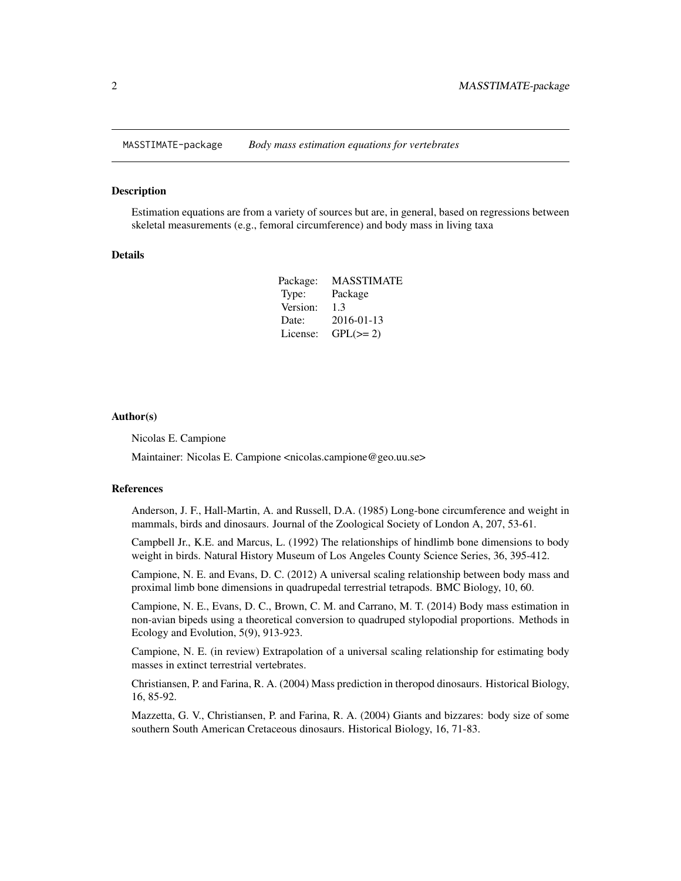<span id="page-1-0"></span>MASSTIMATE-package *Body mass estimation equations for vertebrates*

#### Description

Estimation equations are from a variety of sources but are, in general, based on regressions between skeletal measurements (e.g., femoral circumference) and body mass in living taxa

#### Details

| Package: | <b>MASSTIMATE</b> |
|----------|-------------------|
| Type:    | Package           |
| Version: | 1.3               |
| Date:    | 2016-01-13        |
| License: | $GPL(>= 2)$       |

#### Author(s)

Nicolas E. Campione

Maintainer: Nicolas E. Campione <nicolas.campione@geo.uu.se>

#### References

Anderson, J. F., Hall-Martin, A. and Russell, D.A. (1985) Long-bone circumference and weight in mammals, birds and dinosaurs. Journal of the Zoological Society of London A, 207, 53-61.

Campbell Jr., K.E. and Marcus, L. (1992) The relationships of hindlimb bone dimensions to body weight in birds. Natural History Museum of Los Angeles County Science Series, 36, 395-412.

Campione, N. E. and Evans, D. C. (2012) A universal scaling relationship between body mass and proximal limb bone dimensions in quadrupedal terrestrial tetrapods. BMC Biology, 10, 60.

Campione, N. E., Evans, D. C., Brown, C. M. and Carrano, M. T. (2014) Body mass estimation in non-avian bipeds using a theoretical conversion to quadruped stylopodial proportions. Methods in Ecology and Evolution, 5(9), 913-923.

Campione, N. E. (in review) Extrapolation of a universal scaling relationship for estimating body masses in extinct terrestrial vertebrates.

Christiansen, P. and Farina, R. A. (2004) Mass prediction in theropod dinosaurs. Historical Biology, 16, 85-92.

Mazzetta, G. V., Christiansen, P. and Farina, R. A. (2004) Giants and bizzares: body size of some southern South American Cretaceous dinosaurs. Historical Biology, 16, 71-83.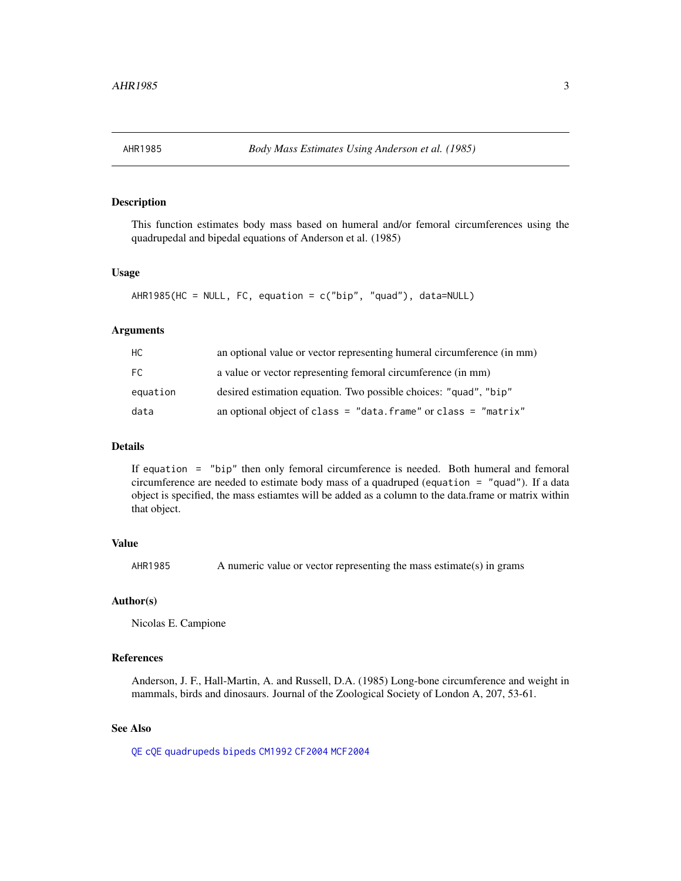<span id="page-2-1"></span><span id="page-2-0"></span>

#### Description

This function estimates body mass based on humeral and/or femoral circumferences using the quadrupedal and bipedal equations of Anderson et al. (1985)

#### Usage

```
AHR1985(HC = NULL, FC, equation = c("bip", "quad"). data=NULL)
```
#### Arguments

| HC.      | an optional value or vector representing humeral circumference (in mm) |
|----------|------------------------------------------------------------------------|
| FC.      | a value or vector representing femoral circumference (in mm)           |
| equation | desired estimation equation. Two possible choices: "quad", "bip"       |
| data     | an optional object of class = "data. frame" or class = "matrix"        |

#### Details

If equation = "bip" then only femoral circumference is needed. Both humeral and femoral circumference are needed to estimate body mass of a quadruped (equation = "quad"). If a data object is specified, the mass estiamtes will be added as a column to the data.frame or matrix within that object.

#### Value

AHR1985 A numeric value or vector representing the mass estimate(s) in grams

#### Author(s)

Nicolas E. Campione

#### References

Anderson, J. F., Hall-Martin, A. and Russell, D.A. (1985) Long-bone circumference and weight in mammals, birds and dinosaurs. Journal of the Zoological Society of London A, 207, 53-61.

#### See Also

[QE](#page-13-1) [cQE](#page-6-1) [quadrupeds](#page-14-1) [bipeds](#page-3-1) [CM1992](#page-5-1) [CF2004](#page-4-1) [MCF2004](#page-9-1)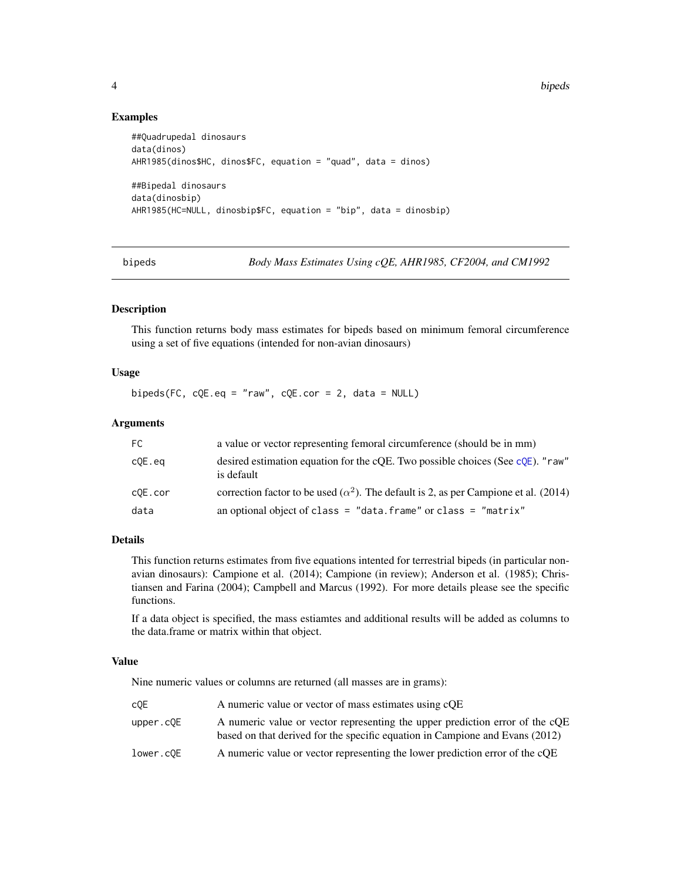4 bipeds

#### Examples

```
##Quadrupedal dinosaurs
data(dinos)
AHR1985(dinos$HC, dinos$FC, equation = "quad", data = dinos)
##Bipedal dinosaurs
data(dinosbip)
AHR1985(HC=NULL, dinosbip$FC, equation = "bip", data = dinosbip)
```
<span id="page-3-1"></span>bipeds *Body Mass Estimates Using cQE, AHR1985, CF2004, and CM1992*

#### Description

This function returns body mass estimates for bipeds based on minimum femoral circumference using a set of five equations (intended for non-avian dinosaurs)

#### Usage

bipeds(FC,  $cQE.eq = "raw", cQE.cor = 2, data = NULL)$ 

#### **Arguments**

| FC.     | a value or vector representing femoral circumference (should be in mm)                                 |
|---------|--------------------------------------------------------------------------------------------------------|
| c0E.eq  | desired estimation equation for the cOE. Two possible choices (See $\text{cOE}$ ). "raw"<br>is default |
| c0E.cor | correction factor to be used ( $\alpha^2$ ). The default is 2, as per Campione et al. (2014)           |
| data    | an optional object of class = "data. frame" or class = "matrix"                                        |

#### Details

This function returns estimates from five equations intented for terrestrial bipeds (in particular nonavian dinosaurs): Campione et al. (2014); Campione (in review); Anderson et al. (1985); Christiansen and Farina (2004); Campbell and Marcus (1992). For more details please see the specific functions.

If a data object is specified, the mass estiamtes and additional results will be added as columns to the data.frame or matrix within that object.

#### Value

Nine numeric values or columns are returned (all masses are in grams):

| c0E       | A numeric value or vector of mass estimates using cQE                                                                                                        |
|-----------|--------------------------------------------------------------------------------------------------------------------------------------------------------------|
| upper.c0E | A numeric value or vector representing the upper prediction error of the cQE<br>based on that derived for the specific equation in Campione and Evans (2012) |
| lower.cOE | A numeric value or vector representing the lower prediction error of the cQE                                                                                 |

<span id="page-3-0"></span>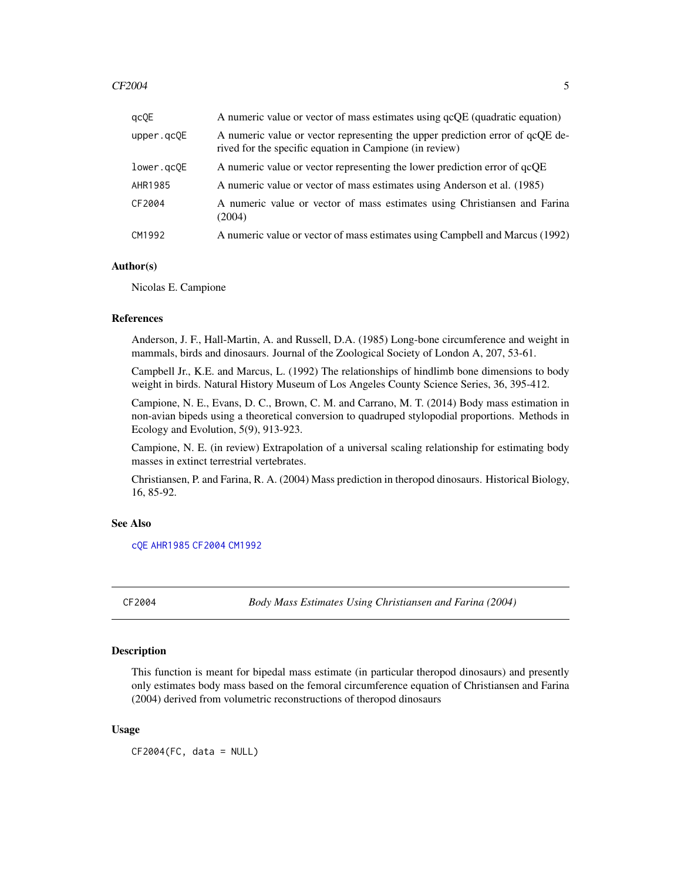#### <span id="page-4-0"></span> $CF2004$  5

| qcQE       | A numeric value or vector of mass estimates using qcQE (quadratic equation)                                                              |
|------------|------------------------------------------------------------------------------------------------------------------------------------------|
| upper.gc0E | A numeric value or vector representing the upper prediction error of qcQE de-<br>rived for the specific equation in Campione (in review) |
| lower.gcQE | A numeric value or vector representing the lower prediction error of qcQE                                                                |
| AHR1985    | A numeric value or vector of mass estimates using Anderson et al. (1985)                                                                 |
| CF2004     | A numeric value or vector of mass estimates using Christiansen and Farina<br>(2004)                                                      |
| CM1992     | A numeric value or vector of mass estimates using Campbell and Marcus (1992)                                                             |

#### Author(s)

Nicolas E. Campione

#### References

Anderson, J. F., Hall-Martin, A. and Russell, D.A. (1985) Long-bone circumference and weight in mammals, birds and dinosaurs. Journal of the Zoological Society of London A, 207, 53-61.

Campbell Jr., K.E. and Marcus, L. (1992) The relationships of hindlimb bone dimensions to body weight in birds. Natural History Museum of Los Angeles County Science Series, 36, 395-412.

Campione, N. E., Evans, D. C., Brown, C. M. and Carrano, M. T. (2014) Body mass estimation in non-avian bipeds using a theoretical conversion to quadruped stylopodial proportions. Methods in Ecology and Evolution, 5(9), 913-923.

Campione, N. E. (in review) Extrapolation of a universal scaling relationship for estimating body masses in extinct terrestrial vertebrates.

Christiansen, P. and Farina, R. A. (2004) Mass prediction in theropod dinosaurs. Historical Biology, 16, 85-92.

#### See Also

[cQE](#page-6-1) [AHR1985](#page-2-1) [CF2004](#page-4-1) [CM1992](#page-5-1)

<span id="page-4-1"></span>

CF2004 *Body Mass Estimates Using Christiansen and Farina (2004)*

#### Description

This function is meant for bipedal mass estimate (in particular theropod dinosaurs) and presently only estimates body mass based on the femoral circumference equation of Christiansen and Farina (2004) derived from volumetric reconstructions of theropod dinosaurs

#### Usage

 $CF2004(FC, data = NULL)$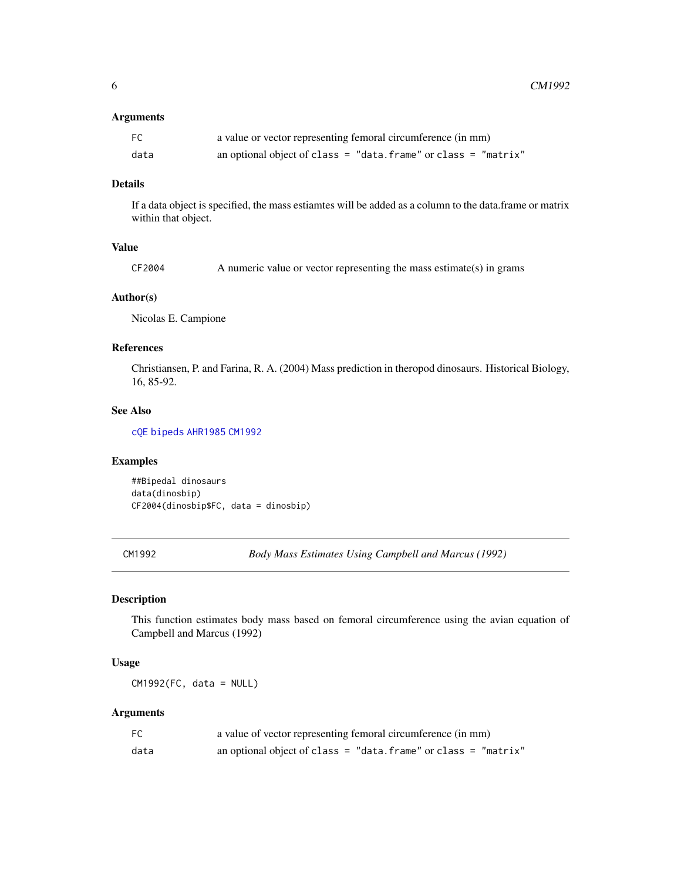#### <span id="page-5-0"></span>Arguments

| FC   | a value or vector representing femoral circumference (in mm)    |
|------|-----------------------------------------------------------------|
| data | an optional object of class = "data. frame" or class = "matrix" |

#### Details

If a data object is specified, the mass estiamtes will be added as a column to the data.frame or matrix within that object.

#### Value

#### Author(s)

Nicolas E. Campione

#### References

Christiansen, P. and Farina, R. A. (2004) Mass prediction in theropod dinosaurs. Historical Biology, 16, 85-92.

#### See Also

[cQE](#page-6-1) [bipeds](#page-3-1) [AHR1985](#page-2-1) [CM1992](#page-5-1)

#### Examples

##Bipedal dinosaurs data(dinosbip) CF2004(dinosbip\$FC, data = dinosbip)

<span id="page-5-1"></span>CM1992 *Body Mass Estimates Using Campbell and Marcus (1992)*

#### Description

This function estimates body mass based on femoral circumference using the avian equation of Campbell and Marcus (1992)

#### Usage

CM1992(FC, data = NULL)

| FC   | a value of vector representing femoral circumference (in mm)    |
|------|-----------------------------------------------------------------|
| data | an optional object of class = "data. frame" or class = "matrix" |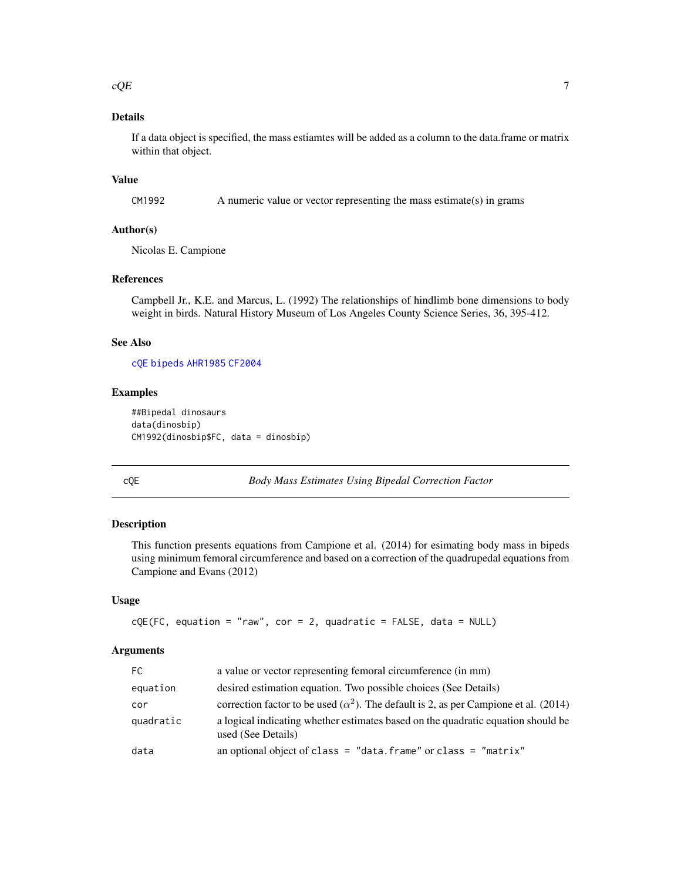<span id="page-6-0"></span>If a data object is specified, the mass estiamtes will be added as a column to the data.frame or matrix within that object.

#### Value

CM1992 A numeric value or vector representing the mass estimate(s) in grams

#### Author(s)

Nicolas E. Campione

#### References

Campbell Jr., K.E. and Marcus, L. (1992) The relationships of hindlimb bone dimensions to body weight in birds. Natural History Museum of Los Angeles County Science Series, 36, 395-412.

#### See Also

[cQE](#page-6-1) [bipeds](#page-3-1) [AHR1985](#page-2-1) [CF2004](#page-4-1)

#### Examples

```
##Bipedal dinosaurs
data(dinosbip)
CM1992(dinosbip$FC, data = dinosbip)
```
<span id="page-6-1"></span>cQE *Body Mass Estimates Using Bipedal Correction Factor*

#### Description

This function presents equations from Campione et al. (2014) for esimating body mass in bipeds using minimum femoral circumference and based on a correction of the quadrupedal equations from Campione and Evans (2012)

#### Usage

```
cQE(FC, equation = "raw", cor = 2, quadratic = FALSE, data = NULL)
```

| FC.       | a value or vector representing femoral circumference (in mm)                                           |
|-----------|--------------------------------------------------------------------------------------------------------|
| equation  | desired estimation equation. Two possible choices (See Details)                                        |
| cor       | correction factor to be used ( $\alpha^2$ ). The default is 2, as per Campione et al. (2014)           |
| quadratic | a logical indicating whether estimates based on the quadratic equation should be<br>used (See Details) |
| data      | an optional object of class = "data. frame" or class = "matrix"                                        |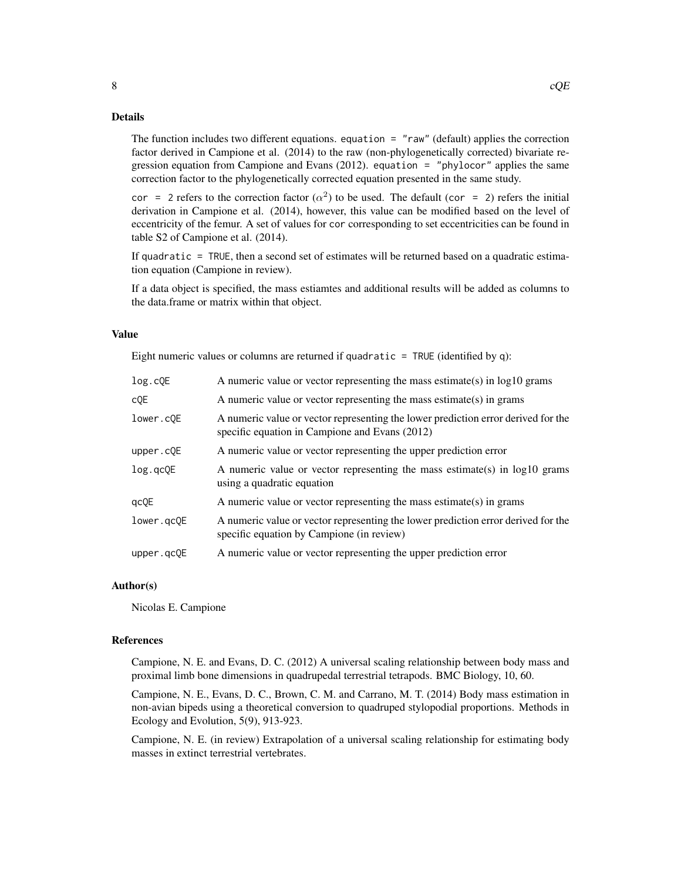The function includes two different equations. equation = "raw" (default) applies the correction factor derived in Campione et al. (2014) to the raw (non-phylogenetically corrected) bivariate regression equation from Campione and Evans (2012). equation = "phylocor" applies the same correction factor to the phylogenetically corrected equation presented in the same study.

cor = 2 refers to the correction factor  $(\alpha^2)$  to be used. The default (cor = 2) refers the initial derivation in Campione et al. (2014), however, this value can be modified based on the level of eccentricity of the femur. A set of values for cor corresponding to set eccentricities can be found in table S2 of Campione et al. (2014).

If quadratic = TRUE, then a second set of estimates will be returned based on a quadratic estimation equation (Campione in review).

If a data object is specified, the mass estiamtes and additional results will be added as columns to the data.frame or matrix within that object.

#### Value

Eight numeric values or columns are returned if quadratic  $=$  TRUE (identified by q):

| log.cQE    | A numeric value or vector representing the mass estimate(s) in $log10$ grams                                                        |
|------------|-------------------------------------------------------------------------------------------------------------------------------------|
| c0E        | A numeric value or vector representing the mass estimate(s) in grams                                                                |
| lower.cOE  | A numeric value or vector representing the lower prediction error derived for the<br>specific equation in Campione and Evans (2012) |
| upper.cQE  | A numeric value or vector representing the upper prediction error                                                                   |
| log.qcQE   | A numeric value or vector representing the mass estimate(s) in log10 grams<br>using a quadratic equation                            |
| qcQE       | A numeric value or vector representing the mass estimate(s) in grams                                                                |
| lower.gcOE | A numeric value or vector representing the lower prediction error derived for the<br>specific equation by Campione (in review)      |
| upper.gcQE | A numeric value or vector representing the upper prediction error                                                                   |

#### Author(s)

Nicolas E. Campione

#### References

Campione, N. E. and Evans, D. C. (2012) A universal scaling relationship between body mass and proximal limb bone dimensions in quadrupedal terrestrial tetrapods. BMC Biology, 10, 60.

Campione, N. E., Evans, D. C., Brown, C. M. and Carrano, M. T. (2014) Body mass estimation in non-avian bipeds using a theoretical conversion to quadruped stylopodial proportions. Methods in Ecology and Evolution, 5(9), 913-923.

Campione, N. E. (in review) Extrapolation of a universal scaling relationship for estimating body masses in extinct terrestrial vertebrates.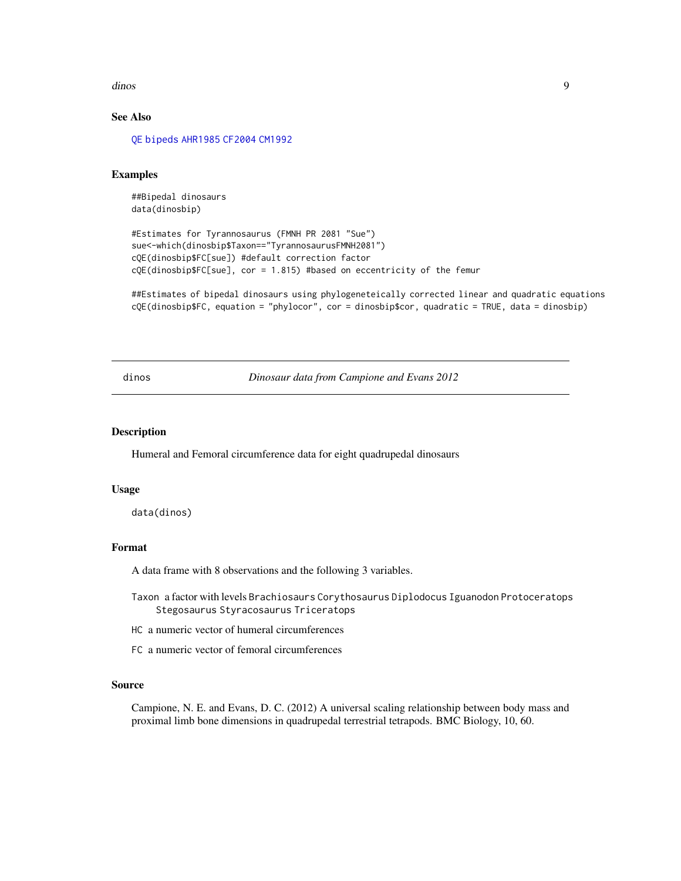<span id="page-8-0"></span>dinos 9

#### See Also

[QE](#page-13-1) [bipeds](#page-3-1) [AHR1985](#page-2-1) [CF2004](#page-4-1) [CM1992](#page-5-1)

#### Examples

##Bipedal dinosaurs data(dinosbip)

#Estimates for Tyrannosaurus (FMNH PR 2081 "Sue") sue<-which(dinosbip\$Taxon=="TyrannosaurusFMNH2081") cQE(dinosbip\$FC[sue]) #default correction factor cQE(dinosbip\$FC[sue], cor = 1.815) #based on eccentricity of the femur

##Estimates of bipedal dinosaurs using phylogeneteically corrected linear and quadratic equations cQE(dinosbip\$FC, equation = "phylocor", cor = dinosbip\$cor, quadratic = TRUE, data = dinosbip)

dinos *Dinosaur data from Campione and Evans 2012*

#### Description

Humeral and Femoral circumference data for eight quadrupedal dinosaurs

#### Usage

data(dinos)

#### Format

A data frame with 8 observations and the following 3 variables.

- Taxon a factor with levels Brachiosaurs Corythosaurus Diplodocus Iguanodon Protoceratops Stegosaurus Styracosaurus Triceratops
- HC a numeric vector of humeral circumferences
- FC a numeric vector of femoral circumferences

#### Source

Campione, N. E. and Evans, D. C. (2012) A universal scaling relationship between body mass and proximal limb bone dimensions in quadrupedal terrestrial tetrapods. BMC Biology, 10, 60.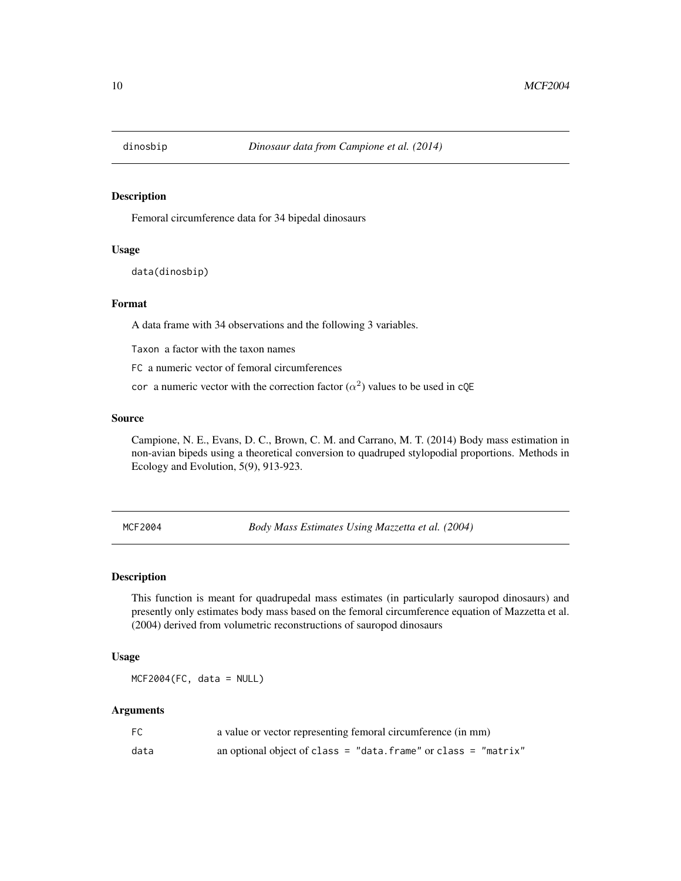<span id="page-9-0"></span>

#### Description

Femoral circumference data for 34 bipedal dinosaurs

#### Usage

data(dinosbip)

#### Format

A data frame with 34 observations and the following 3 variables.

Taxon a factor with the taxon names

FC a numeric vector of femoral circumferences

cor a numeric vector with the correction factor  $(\alpha^2)$  values to be used in cQE

#### Source

Campione, N. E., Evans, D. C., Brown, C. M. and Carrano, M. T. (2014) Body mass estimation in non-avian bipeds using a theoretical conversion to quadruped stylopodial proportions. Methods in Ecology and Evolution, 5(9), 913-923.

<span id="page-9-1"></span>MCF2004 *Body Mass Estimates Using Mazzetta et al. (2004)*

#### Description

This function is meant for quadrupedal mass estimates (in particularly sauropod dinosaurs) and presently only estimates body mass based on the femoral circumference equation of Mazzetta et al. (2004) derived from volumetric reconstructions of sauropod dinosaurs

#### Usage

MCF2004(FC, data = NULL)

| FC   | a value or vector representing femoral circumference (in mm)    |
|------|-----------------------------------------------------------------|
| data | an optional object of class = "data. frame" or class = "matrix" |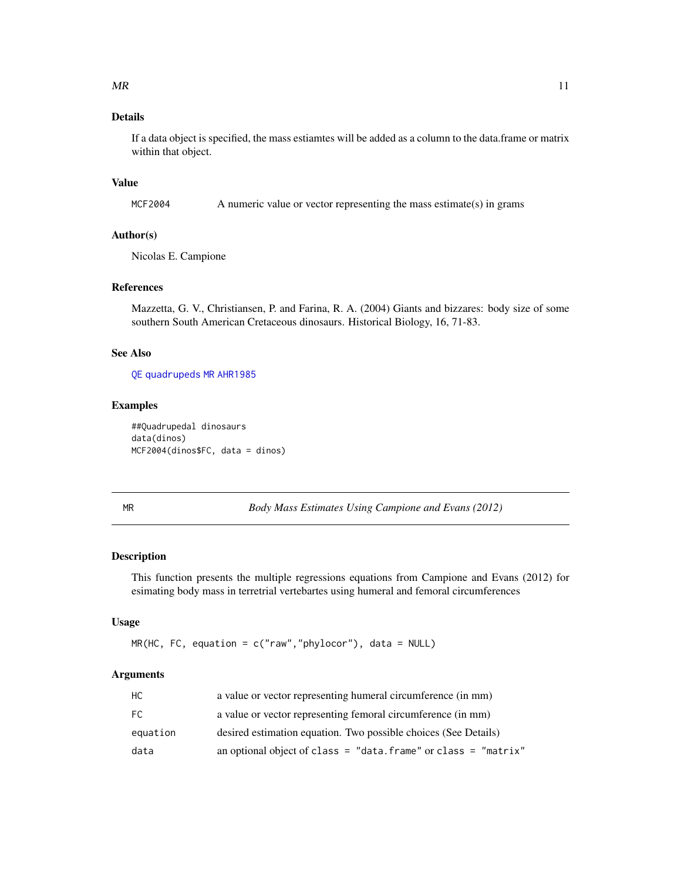<span id="page-10-0"></span>If a data object is specified, the mass estiamtes will be added as a column to the data.frame or matrix within that object.

#### Value

MCF2004 A numeric value or vector representing the mass estimate(s) in grams

#### Author(s)

Nicolas E. Campione

#### References

Mazzetta, G. V., Christiansen, P. and Farina, R. A. (2004) Giants and bizzares: body size of some southern South American Cretaceous dinosaurs. Historical Biology, 16, 71-83.

#### See Also

[QE](#page-13-1) [quadrupeds](#page-14-1) [MR](#page-10-1) [AHR1985](#page-2-1)

#### Examples

```
##Quadrupedal dinosaurs
data(dinos)
MCF2004(dinos$FC, data = dinos)
```
<span id="page-10-1"></span>MR *Body Mass Estimates Using Campione and Evans (2012)*

#### Description

This function presents the multiple regressions equations from Campione and Evans (2012) for esimating body mass in terretrial vertebartes using humeral and femoral circumferences

#### Usage

```
MR(HC, FC, equation = c("raw","phylocor"), data = NULL)
```

| НC       | a value or vector representing humeral circumference (in mm)    |
|----------|-----------------------------------------------------------------|
| FC.      | a value or vector representing femoral circumference (in mm)    |
| equation | desired estimation equation. Two possible choices (See Details) |
| data     | an optional object of class = "data. frame" or class = "matrix" |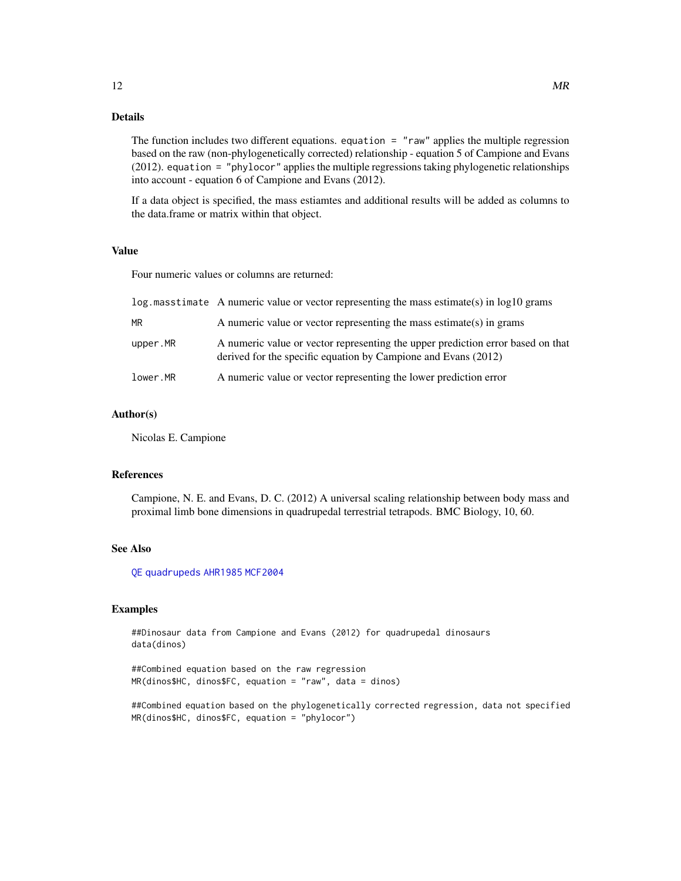<span id="page-11-0"></span>The function includes two different equations. equation =  $"raw"$  applies the multiple regression based on the raw (non-phylogenetically corrected) relationship - equation 5 of Campione and Evans (2012). equation = "phylocor" applies the multiple regressions taking phylogenetic relationships into account - equation 6 of Campione and Evans (2012).

If a data object is specified, the mass estiamtes and additional results will be added as columns to the data.frame or matrix within that object.

#### Value

Four numeric values or columns are returned:

|          | $log$ masstimate A numeric value or vector representing the mass estimate(s) in $log10$ grams                                                     |
|----------|---------------------------------------------------------------------------------------------------------------------------------------------------|
| ΜR       | A numeric value or vector representing the mass estimate(s) in grams                                                                              |
| upper.MR | A numeric value or vector representing the upper prediction error based on that<br>derived for the specific equation by Campione and Evans (2012) |
| lower.MR | A numeric value or vector representing the lower prediction error                                                                                 |

#### Author(s)

Nicolas E. Campione

#### References

Campione, N. E. and Evans, D. C. (2012) A universal scaling relationship between body mass and proximal limb bone dimensions in quadrupedal terrestrial tetrapods. BMC Biology, 10, 60.

#### See Also

[QE](#page-13-1) [quadrupeds](#page-14-1) [AHR1985](#page-2-1) [MCF2004](#page-9-1)

#### Examples

##Dinosaur data from Campione and Evans (2012) for quadrupedal dinosaurs data(dinos)

##Combined equation based on the raw regression MR(dinos\$HC, dinos\$FC, equation = "raw", data = dinos)

##Combined equation based on the phylogenetically corrected regression, data not specified MR(dinos\$HC, dinos\$FC, equation = "phylocor")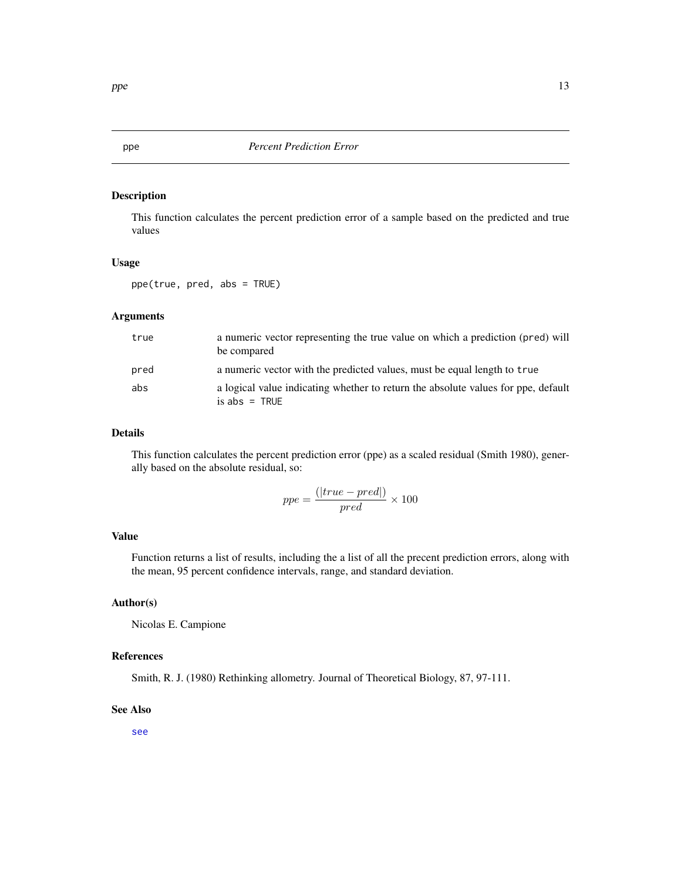<span id="page-12-0"></span>

#### Description

This function calculates the percent prediction error of a sample based on the predicted and true values

#### Usage

ppe(true, pred, abs = TRUE)

#### Arguments

| true | a numeric vector representing the true value on which a prediction (pred) will<br>be compared        |
|------|------------------------------------------------------------------------------------------------------|
| pred | a numeric vector with the predicted values, must be equal length to true                             |
| abs  | a logical value indicating whether to return the absolute values for ppe, default<br>$is abs = TRUE$ |

#### Details

This function calculates the percent prediction error (ppe) as a scaled residual (Smith 1980), generally based on the absolute residual, so:

$$
ppe = \frac{(|true - pred|)}{pred} \times 100
$$

#### Value

Function returns a list of results, including the a list of all the precent prediction errors, along with the mean, 95 percent confidence intervals, range, and standard deviation.

#### Author(s)

Nicolas E. Campione

#### References

Smith, R. J. (1980) Rethinking allometry. Journal of Theoretical Biology, 87, 97-111.

#### See Also

[see](#page-16-1)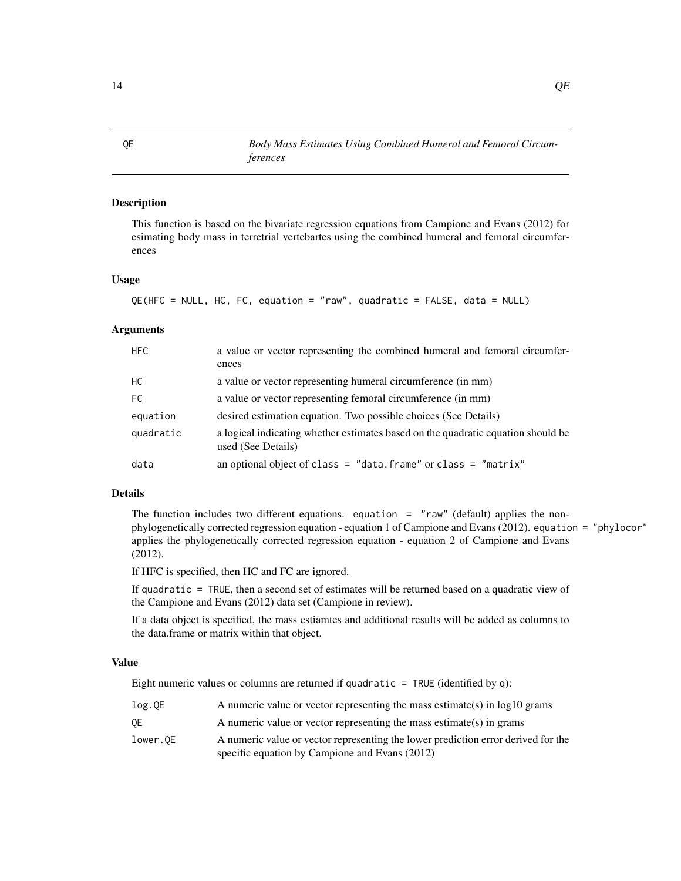QE *Body Mass Estimates Using Combined Humeral and Femoral Circumferences*

#### Description

This function is based on the bivariate regression equations from Campione and Evans (2012) for esimating body mass in terretrial vertebartes using the combined humeral and femoral circumferences

#### Usage

```
QE(HFC = NULL, HC, FC, equation = "raw", quadratic = FALSE, data = NULL)
```
#### Arguments

| <b>HFC</b> | a value or vector representing the combined humeral and femoral circumfer-<br>ences                    |
|------------|--------------------------------------------------------------------------------------------------------|
| HC         | a value or vector representing humeral circumference (in mm)                                           |
| FC.        | a value or vector representing femoral circumference (in mm)                                           |
| equation   | desired estimation equation. Two possible choices (See Details)                                        |
| quadratic  | a logical indicating whether estimates based on the quadratic equation should be<br>used (See Details) |
| data       | an optional object of class = "data. frame" or class = "matrix"                                        |

#### Details

The function includes two different equations. equation =  $"raw"$  (default) applies the nonphylogenetically corrected regression equation - equation 1 of Campione and Evans (2012). equation = "phylocor" applies the phylogenetically corrected regression equation - equation 2 of Campione and Evans (2012).

If HFC is specified, then HC and FC are ignored.

If quadratic = TRUE, then a second set of estimates will be returned based on a quadratic view of the Campione and Evans (2012) data set (Campione in review).

If a data object is specified, the mass estiamtes and additional results will be added as columns to the data.frame or matrix within that object.

#### Value

Eight numeric values or columns are returned if quadratic = TRUE (identified by q):

| log.0E   | A numeric value or vector representing the mass estimate(s) in $log10$ grams                                                        |
|----------|-------------------------------------------------------------------------------------------------------------------------------------|
| 0E       | A numeric value or vector representing the mass estimate(s) in grams                                                                |
| lower.OE | A numeric value or vector representing the lower prediction error derived for the<br>specific equation by Campione and Evans (2012) |

<span id="page-13-1"></span><span id="page-13-0"></span>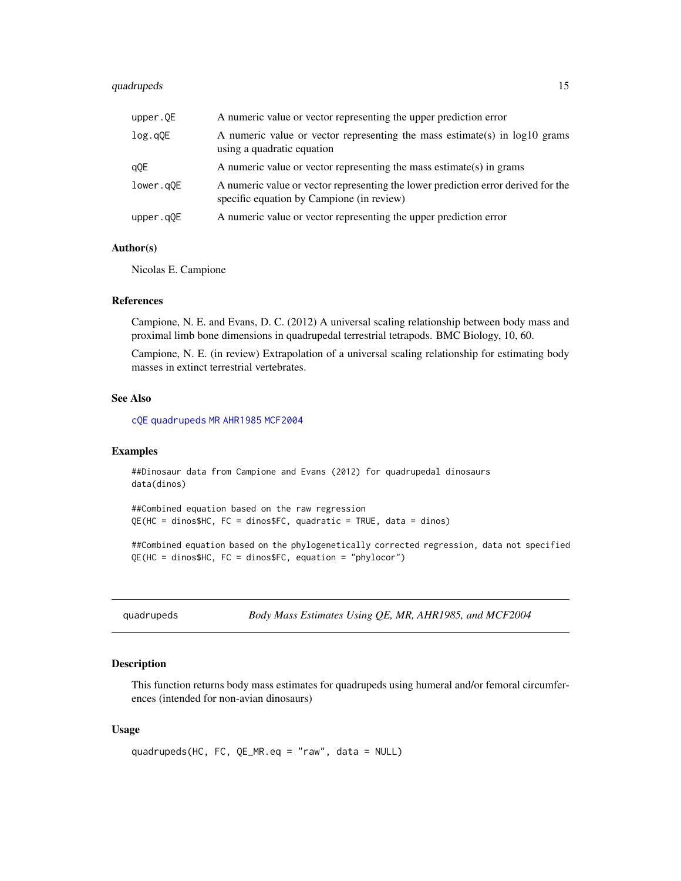#### <span id="page-14-0"></span>quadrupeds 15

| upper.QE  | A numeric value or vector representing the upper prediction error                                                              |
|-----------|--------------------------------------------------------------------------------------------------------------------------------|
| log.qQE   | A numeric value or vector representing the mass estimate(s) in $log10$ grams<br>using a quadratic equation                     |
| qQE       | A numeric value or vector representing the mass estimate(s) in grams                                                           |
| lower.g0E | A numeric value or vector representing the lower prediction error derived for the<br>specific equation by Campione (in review) |
| upper.qQE | A numeric value or vector representing the upper prediction error                                                              |

#### Author(s)

Nicolas E. Campione

#### References

Campione, N. E. and Evans, D. C. (2012) A universal scaling relationship between body mass and proximal limb bone dimensions in quadrupedal terrestrial tetrapods. BMC Biology, 10, 60.

Campione, N. E. (in review) Extrapolation of a universal scaling relationship for estimating body masses in extinct terrestrial vertebrates.

#### See Also

[cQE](#page-6-1) [quadrupeds](#page-14-1) [MR](#page-10-1) [AHR1985](#page-2-1) [MCF2004](#page-9-1)

#### Examples

```
##Dinosaur data from Campione and Evans (2012) for quadrupedal dinosaurs
data(dinos)
```

```
##Combined equation based on the raw regression
QE(HC = dinos$HC, FC = dinos$FC, quadratic = TRUE, data = dinos)
```
##Combined equation based on the phylogenetically corrected regression, data not specified QE(HC = dinos\$HC, FC = dinos\$FC, equation = "phylocor")

<span id="page-14-1"></span>quadrupeds *Body Mass Estimates Using QE, MR, AHR1985, and MCF2004*

#### Description

This function returns body mass estimates for quadrupeds using humeral and/or femoral circumferences (intended for non-avian dinosaurs)

#### Usage

```
quadrupeds(HC, FC, QE_MR.eq = "raw", data = NULL)
```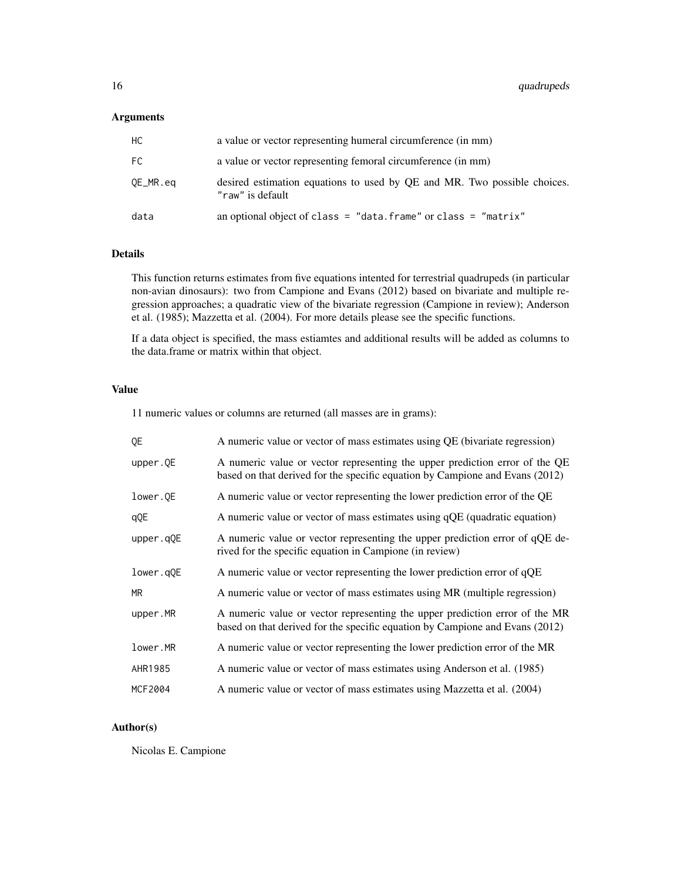#### Arguments

| НC       | a value or vector representing humeral circumference (in mm)                                 |
|----------|----------------------------------------------------------------------------------------------|
| FC.      | a value or vector representing femoral circumference (in mm)                                 |
| QE_MR.eq | desired estimation equations to used by QE and MR. Two possible choices.<br>"raw" is default |
| data     | an optional object of class = "data. frame" or class = "matrix"                              |

#### Details

This function returns estimates from five equations intented for terrestrial quadrupeds (in particular non-avian dinosaurs): two from Campione and Evans (2012) based on bivariate and multiple regression approaches; a quadratic view of the bivariate regression (Campione in review); Anderson et al. (1985); Mazzetta et al. (2004). For more details please see the specific functions.

If a data object is specified, the mass estiamtes and additional results will be added as columns to the data.frame or matrix within that object.

#### Value

11 numeric values or columns are returned (all masses are in grams):

| QE        | A numeric value or vector of mass estimates using QE (bivariate regression)                                                                                 |
|-----------|-------------------------------------------------------------------------------------------------------------------------------------------------------------|
| upper.QE  | A numeric value or vector representing the upper prediction error of the QE<br>based on that derived for the specific equation by Campione and Evans (2012) |
| lower.QE  | A numeric value or vector representing the lower prediction error of the QE                                                                                 |
| qQE       | A numeric value or vector of mass estimates using qQE (quadratic equation)                                                                                  |
| upper.qQE | A numeric value or vector representing the upper prediction error of qQE de-<br>rived for the specific equation in Campione (in review)                     |
| lower.qQE | A numeric value or vector representing the lower prediction error of qQE                                                                                    |
| <b>MR</b> | A numeric value or vector of mass estimates using MR (multiple regression)                                                                                  |
| upper.MR  | A numeric value or vector representing the upper prediction error of the MR<br>based on that derived for the specific equation by Campione and Evans (2012) |
| lower.MR  | A numeric value or vector representing the lower prediction error of the MR                                                                                 |
| AHR1985   | A numeric value or vector of mass estimates using Anderson et al. (1985)                                                                                    |
| MCF2004   | A numeric value or vector of mass estimates using Mazzetta et al. (2004)                                                                                    |

#### Author(s)

Nicolas E. Campione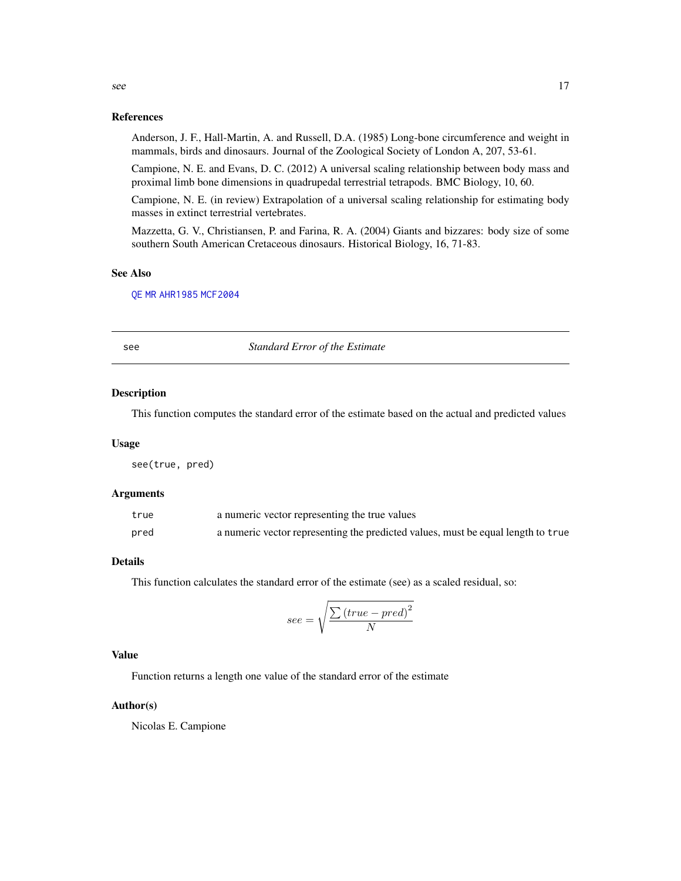#### References

Anderson, J. F., Hall-Martin, A. and Russell, D.A. (1985) Long-bone circumference and weight in mammals, birds and dinosaurs. Journal of the Zoological Society of London A, 207, 53-61.

Campione, N. E. and Evans, D. C. (2012) A universal scaling relationship between body mass and proximal limb bone dimensions in quadrupedal terrestrial tetrapods. BMC Biology, 10, 60.

Campione, N. E. (in review) Extrapolation of a universal scaling relationship for estimating body masses in extinct terrestrial vertebrates.

Mazzetta, G. V., Christiansen, P. and Farina, R. A. (2004) Giants and bizzares: body size of some southern South American Cretaceous dinosaurs. Historical Biology, 16, 71-83.

#### See Also

[QE](#page-13-1) [MR](#page-10-1) [AHR1985](#page-2-1) [MCF2004](#page-9-1)

<span id="page-16-1"></span>see *Standard Error of the Estimate*

#### Description

This function computes the standard error of the estimate based on the actual and predicted values

#### Usage

see(true, pred)

#### Arguments

| true | a numeric vector representing the true values                                    |
|------|----------------------------------------------------------------------------------|
| pred | a numeric vector representing the predicted values, must be equal length to true |

#### Details

This function calculates the standard error of the estimate (see) as a scaled residual, so:

$$
see = \sqrt{\frac{\sum (true - pred)^2}{N}}
$$

#### Value

Function returns a length one value of the standard error of the estimate

#### Author(s)

Nicolas E. Campione

<span id="page-16-0"></span>see and the set of the set of the set of the set of the set of the set of the set of the set of the set of the set of the set of the set of the set of the set of the set of the set of the set of the set of the set of the s